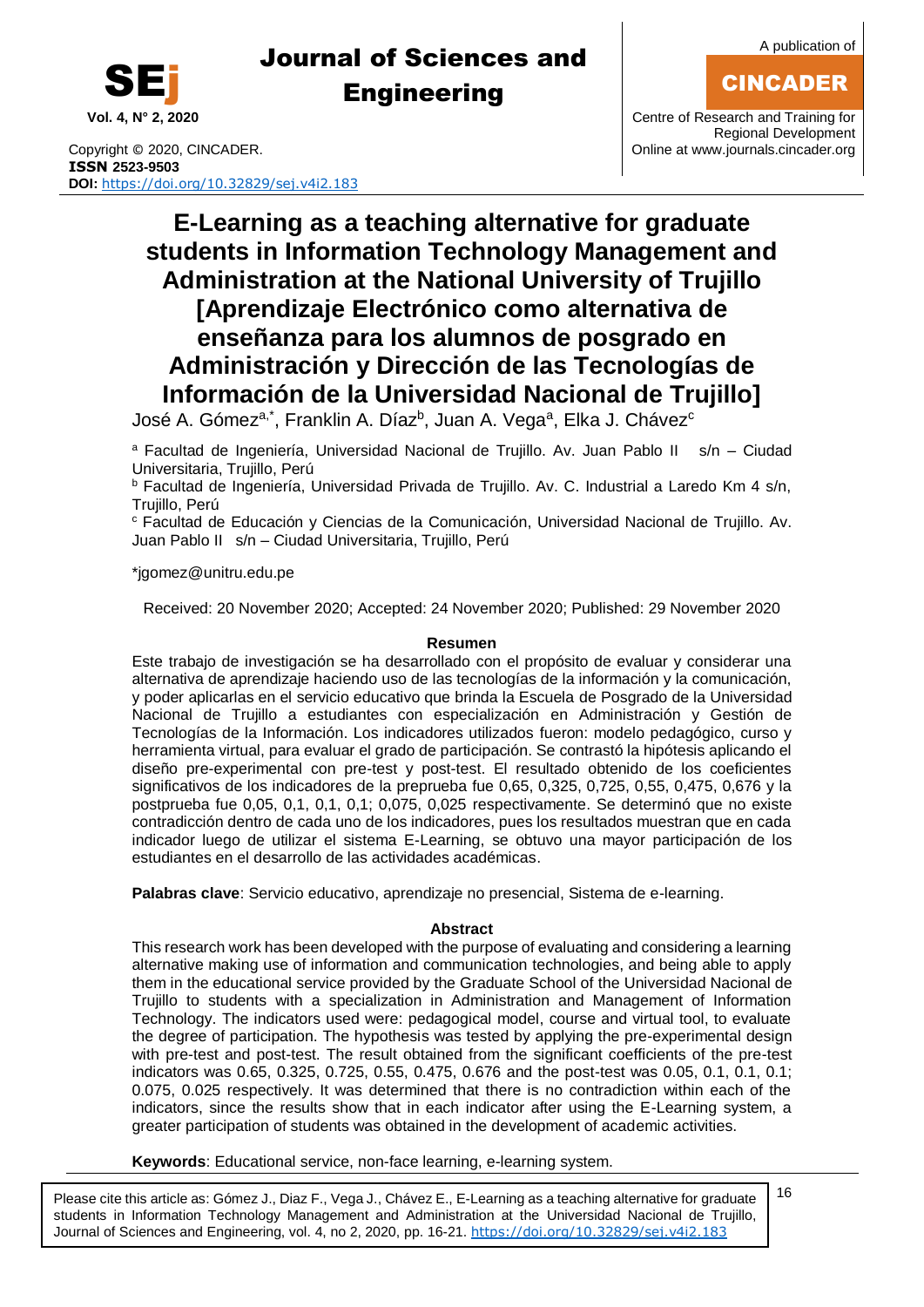

Copyright © 2020, CINCADER. COME CONSERVERSITY CONFIDENTIAL CONSERVERSITY Online a[t www.journals.cincader.org](http://www.journals.cincader.org/) **ISSN 2523-9503 DOI:** <https://doi.org/10.32829/sej.v4i2.183>

**Vol. 4, N° 2, 2020** Centre of Research and Training for Regional Development

## **E-Learning as a teaching alternative for graduate students in Information Technology Management and Administration at the National University of Trujillo [Aprendizaje Electrónico como alternativa de enseñanza para los alumnos de posgrado en Administración y Dirección de las Tecnologías de Información de la Universidad Nacional de Trujillo]**

José A. Gómez<sup>a,∗</sup>, Franklin A. Díaz<sup>b</sup>, Juan A. Vega<sup>a</sup>, Elka J. Chávez<sup>c</sup>

<sup>a</sup> Facultad de Ingeniería, Universidad Nacional de Trujillo. Av. Juan Pablo II s/n – Ciudad Universitaria, Trujillo, Perú

<sup>b</sup> Facultad de Ingeniería, Universidad Privada de Trujillo. Av. C. Industrial a Laredo Km 4 s/n, Trujillo, Perú

<sup>c</sup> Facultad de Educación y Ciencias de la Comunicación, Universidad Nacional de Trujillo. Av. Juan Pablo II s/n – Ciudad Universitaria, Trujillo, Perú

\*jgome[z@unitru.edu.pe](mailto:samu@uom.lk)

Received: 20 November 2020; Accepted: 24 November 2020; Published: 29 November 2020

#### **Resumen**

Este trabajo de investigación se ha desarrollado con el propósito de evaluar y considerar una alternativa de aprendizaje haciendo uso de las tecnologías de la información y la comunicación, y poder aplicarlas en el servicio educativo que brinda la Escuela de Posgrado de la Universidad Nacional de Trujillo a estudiantes con especialización en Administración y Gestión de Tecnologías de la Información. Los indicadores utilizados fueron: modelo pedagógico, curso y herramienta virtual, para evaluar el grado de participación. Se contrastó la hipótesis aplicando el diseño pre-experimental con pre-test y post-test. El resultado obtenido de los coeficientes significativos de los indicadores de la preprueba fue 0,65, 0,325, 0,725, 0,55, 0,475, 0,676 y la postprueba fue 0,05, 0,1, 0,1, 0,1; 0,075, 0,025 respectivamente. Se determinó que no existe contradicción dentro de cada uno de los indicadores, pues los resultados muestran que en cada indicador luego de utilizar el sistema E-Learning, se obtuvo una mayor participación de los estudiantes en el desarrollo de las actividades académicas.

**Palabras clave**: Servicio educativo, aprendizaje no presencial, Sistema de e-learning.

### **Abstract**

This research work has been developed with the purpose of evaluating and considering a learning alternative making use of information and communication technologies, and being able to apply them in the educational service provided by the Graduate School of the Universidad Nacional de Trujillo to students with a specialization in Administration and Management of Information Technology. The indicators used were: pedagogical model, course and virtual tool, to evaluate the degree of participation. The hypothesis was tested by applying the pre-experimental design with pre-test and post-test. The result obtained from the significant coefficients of the pre-test indicators was 0.65, 0.325, 0.725, 0.55, 0.475, 0.676 and the post-test was 0.05, 0.1, 0.1, 0.1; 0.075, 0.025 respectively. It was determined that there is no contradiction within each of the indicators, since the results show that in each indicator after using the E-Learning system, a greater participation of students was obtained in the development of academic activities.

**Keywords**: Educational service, non-face learning, e-learning system.

Please cite this article as: Gómez J., Diaz F., Vega J., Chávez E., E-Learning as a teaching alternative for graduate students in Information Technology Management and Administration at the Universidad Nacional de Trujillo, Journal of Sciences and Engineering, vol. 4, no 2, 2020, pp. 16-21. <https://doi.org/10.32829/sej.v4i2.183>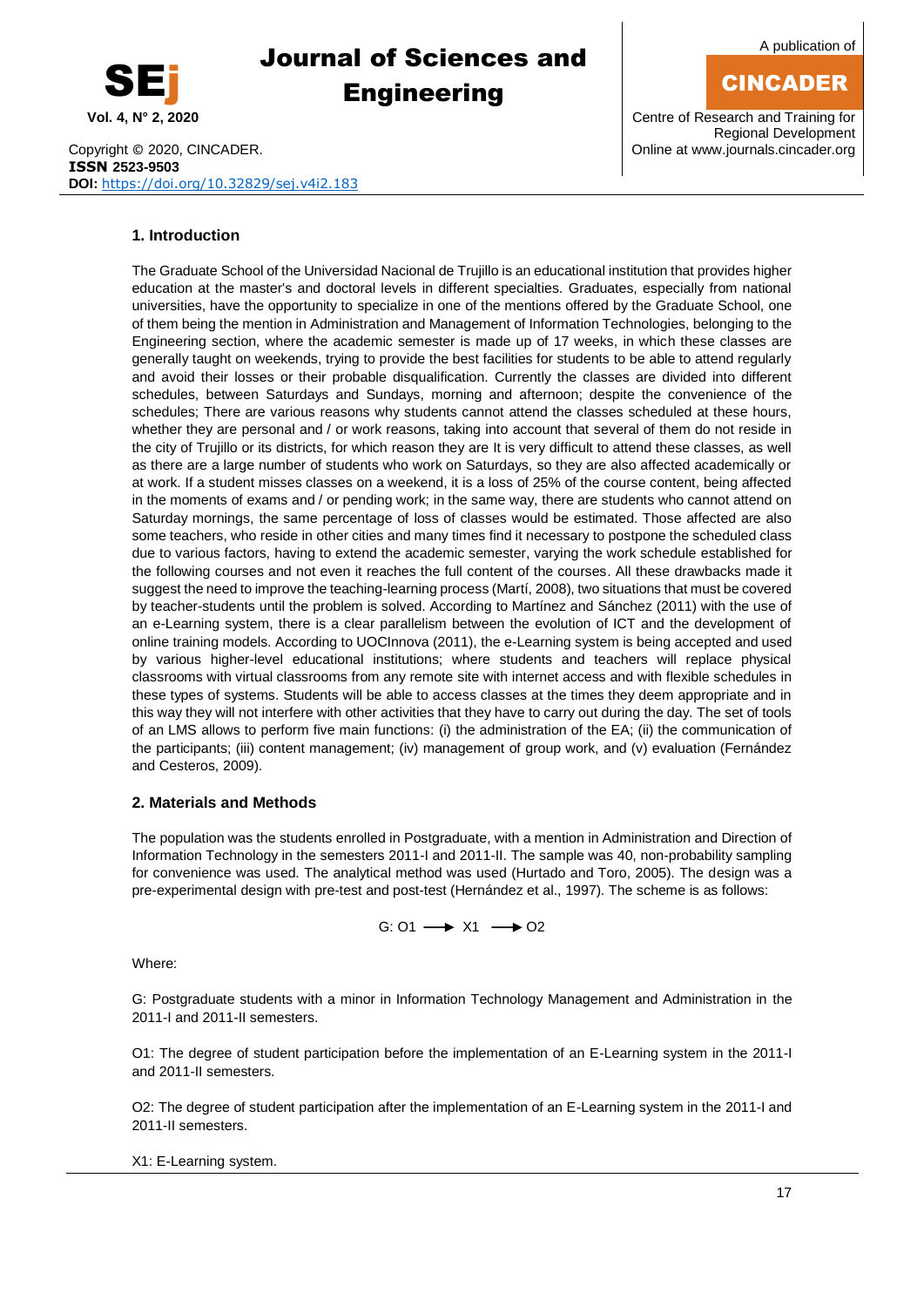

A publication of

### CINCADER

**Vol. 4, N° 2, 2020** Centre of Research and Training for Regional Development

Copyright © 2020, CINCADER. COME CONSERVERSITY CONFIDENTIAL CONSERVERSITY Online a[t www.journals.cincader.org](http://www.journals.cincader.org/) **ISSN 2523-9503 DOI:** <https://doi.org/10.32829/sej.v4i2.183>

#### **1. Introduction**

The Graduate School of the Universidad Nacional de Trujillo is an educational institution that provides higher education at the master's and doctoral levels in different specialties. Graduates, especially from national universities, have the opportunity to specialize in one of the mentions offered by the Graduate School, one of them being the mention in Administration and Management of Information Technologies, belonging to the Engineering section, where the academic semester is made up of 17 weeks, in which these classes are generally taught on weekends, trying to provide the best facilities for students to be able to attend regularly and avoid their losses or their probable disqualification. Currently the classes are divided into different schedules, between Saturdays and Sundays, morning and afternoon; despite the convenience of the schedules; There are various reasons why students cannot attend the classes scheduled at these hours, whether they are personal and / or work reasons, taking into account that several of them do not reside in the city of Trujillo or its districts, for which reason they are It is very difficult to attend these classes, as well as there are a large number of students who work on Saturdays, so they are also affected academically or at work. If a student misses classes on a weekend, it is a loss of 25% of the course content, being affected in the moments of exams and / or pending work; in the same way, there are students who cannot attend on Saturday mornings, the same percentage of loss of classes would be estimated. Those affected are also some teachers, who reside in other cities and many times find it necessary to postpone the scheduled class due to various factors, having to extend the academic semester, varying the work schedule established for the following courses and not even it reaches the full content of the courses. All these drawbacks made it suggest the need to improve the teaching-learning process (Martí, 2008), two situations that must be covered by teacher-students until the problem is solved. According to Martínez and Sánchez (2011) with the use of an e-Learning system, there is a clear parallelism between the evolution of ICT and the development of online training models. According to UOCInnova (2011), the e-Learning system is being accepted and used by various higher-level educational institutions; where students and teachers will replace physical classrooms with virtual classrooms from any remote site with internet access and with flexible schedules in these types of systems. Students will be able to access classes at the times they deem appropriate and in this way they will not interfere with other activities that they have to carry out during the day. The set of tools of an LMS allows to perform five main functions: (i) the administration of the EA; (ii) the communication of the participants; (iii) content management; (iv) management of group work, and (v) evaluation (Fernández and Cesteros, 2009).

### **2. Materials and Methods**

The population was the students enrolled in Postgraduate, with a mention in Administration and Direction of Information Technology in the semesters 2011-I and 2011-II. The sample was 40, non-probability sampling for convenience was used. The analytical method was used (Hurtado and Toro, 2005). The design was a pre-experimental design with pre-test and post-test (Hernández et al., 1997). The scheme is as follows:

$$
G: O1 \longrightarrow X1 \longrightarrow O2
$$

Where:

G: Postgraduate students with a minor in Information Technology Management and Administration in the 2011-I and 2011-II semesters.

O1: The degree of student participation before the implementation of an E-Learning system in the 2011-I and 2011-II semesters.

O2: The degree of student participation after the implementation of an E-Learning system in the 2011-I and 2011-II semesters.

X1: E-Learning system.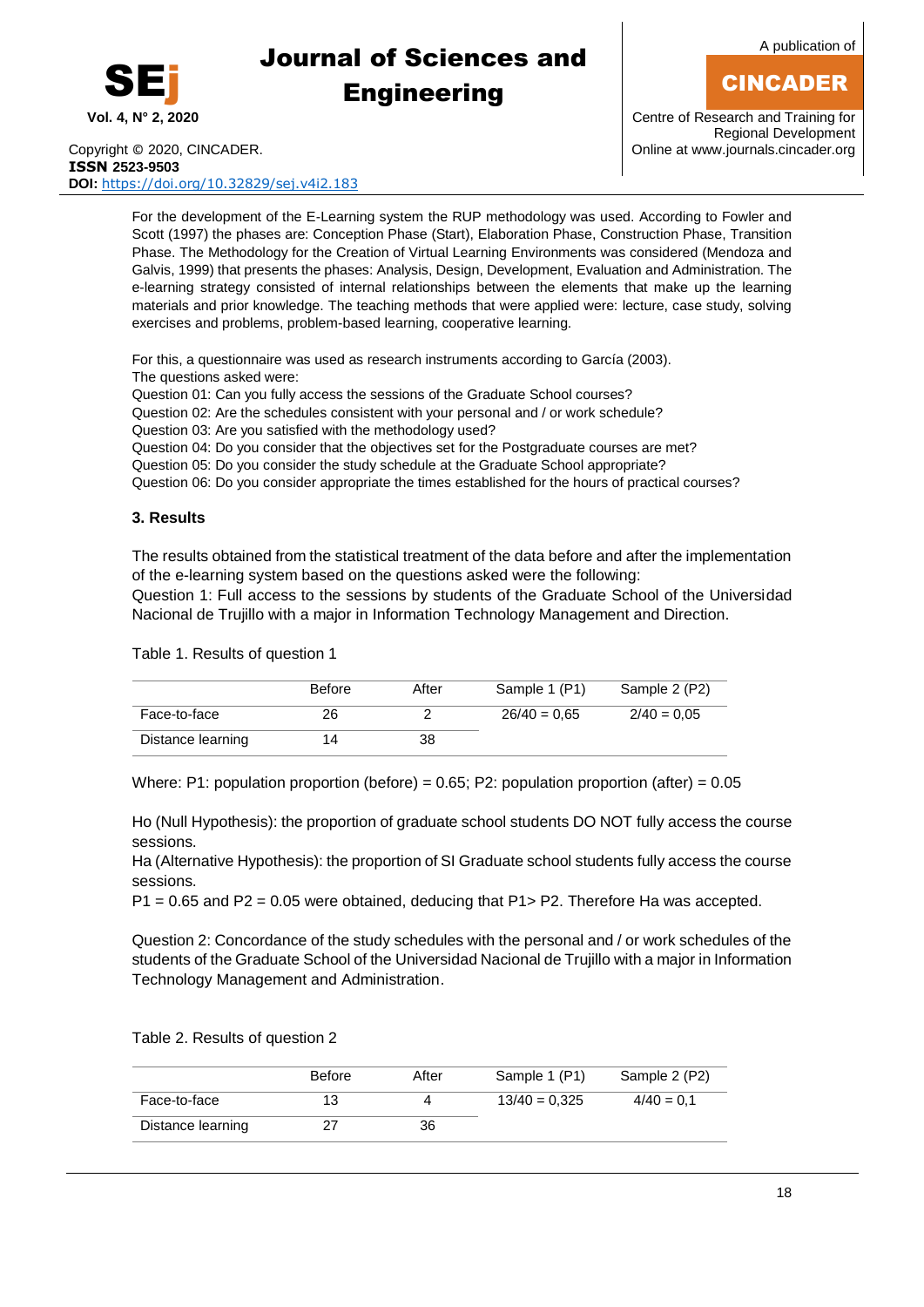

A publication of

## CINCADER

**Vol. 4, N° 2, 2020** Centre of Research and Training for Regional Development

Copyright © 2020, CINCADER. COMEXANDER CONSULTER CONSUMING A LOCAL CONSUMING A LOCAL CONSUMING A LOCAL CONSUMING A LOCAL CONSUMING A LOCAL CONSUMING A LOCAL CONSUMING A LOCAL CONSUMING A LOCAL CONSUMING A LOCAL CONSUMING A **ISSN 2523-9503 DOI:** <https://doi.org/10.32829/sej.v4i2.183>

For the development of the E-Learning system the RUP methodology was used. According to Fowler and Scott (1997) the phases are: Conception Phase (Start), Elaboration Phase, Construction Phase, Transition Phase. The Methodology for the Creation of Virtual Learning Environments was considered (Mendoza and Galvis, 1999) that presents the phases: Analysis, Design, Development, Evaluation and Administration. The e-learning strategy consisted of internal relationships between the elements that make up the learning materials and prior knowledge. The teaching methods that were applied were: lecture, case study, solving exercises and problems, problem-based learning, cooperative learning.

For this, a questionnaire was used as research instruments according to García (2003). The questions asked were:

Question 01: Can you fully access the sessions of the Graduate School courses?

Question 02: Are the schedules consistent with your personal and / or work schedule?

Question 03: Are you satisfied with the methodology used?

Question 04: Do you consider that the objectives set for the Postgraduate courses are met?

Question 05: Do you consider the study schedule at the Graduate School appropriate?

Question 06: Do you consider appropriate the times established for the hours of practical courses?

### **3. Results**

The results obtained from the statistical treatment of the data before and after the implementation of the e-learning system based on the questions asked were the following:

Question 1: Full access to the sessions by students of the Graduate School of the Universidad Nacional de Trujillo with a major in Information Technology Management and Direction.

Table 1. Results of question 1

|                   | Before | After | Sample 1 (P1)  | Sample 2 (P2) |
|-------------------|--------|-------|----------------|---------------|
| Face-to-face      | 26     |       | $26/40 = 0.65$ | $2/40 = 0.05$ |
| Distance learning | 14     | 38    |                |               |

Where: P1: population proportion (before) =  $0.65$ ; P2: population proportion (after) =  $0.05$ 

Ho (Null Hypothesis): the proportion of graduate school students DO NOT fully access the course sessions.

Ha (Alternative Hypothesis): the proportion of SI Graduate school students fully access the course sessions.

 $P1 = 0.65$  and  $P2 = 0.05$  were obtained, deducing that  $P1$  > P2. Therefore Ha was accepted.

Question 2: Concordance of the study schedules with the personal and / or work schedules of the students of the Graduate School of the Universidad Nacional de Trujillo with a major in Information Technology Management and Administration.

Table 2. Results of question 2

|                   | <b>Before</b> | After | Sample 1 (P1)   | Sample 2 (P2) |
|-------------------|---------------|-------|-----------------|---------------|
| Face-to-face      | 13            |       | $13/40 = 0.325$ | $4/40 = 0.1$  |
| Distance learning |               | 36    |                 |               |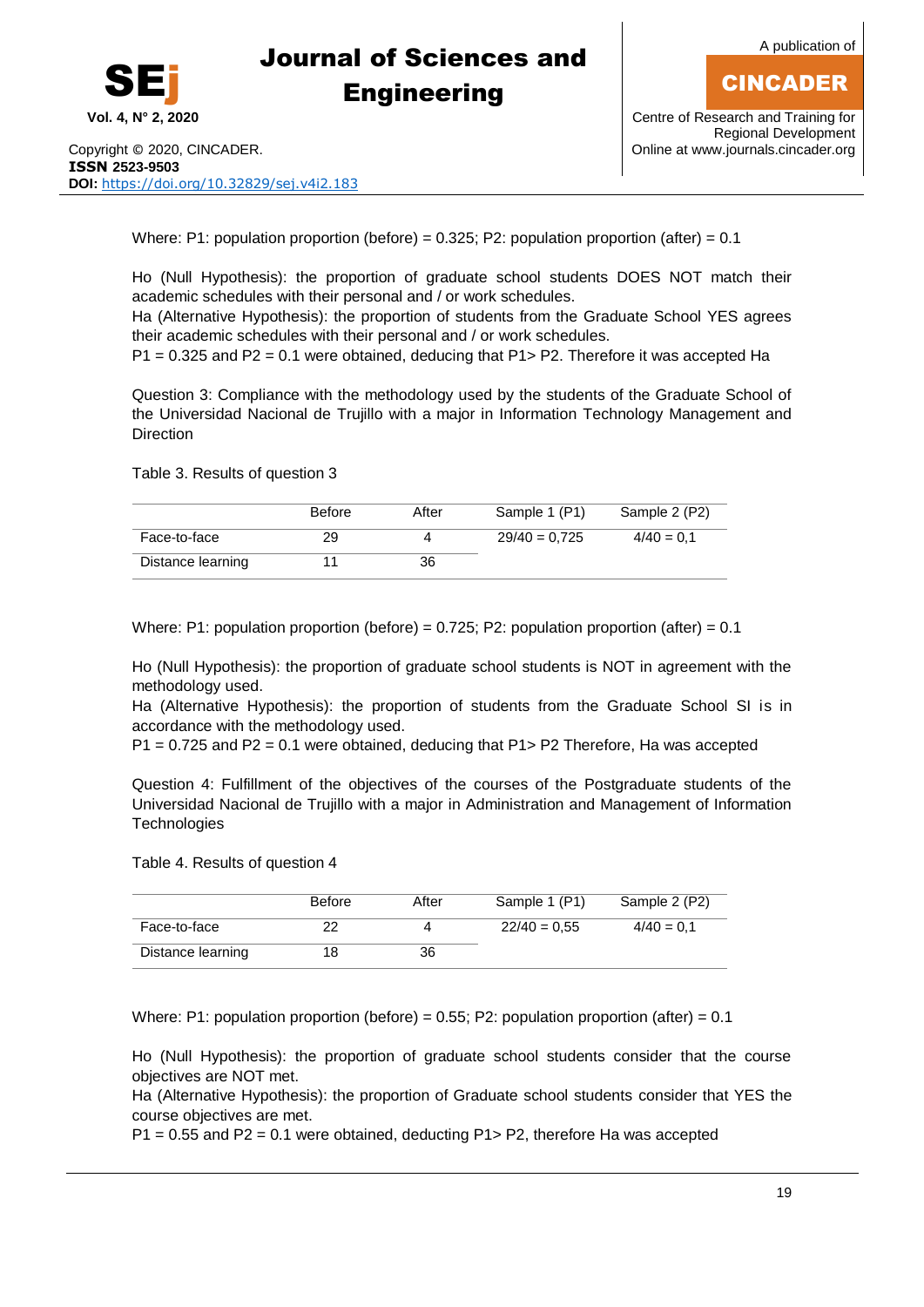

A publication of

### CINCADER

Copyright © 2020, CINCADER. COME CONSERVERSITY CONFIDENTIAL CONSERVERSITY Online a[t www.journals.cincader.org](http://www.journals.cincader.org/) **ISSN 2523-9503 DOI:** <https://doi.org/10.32829/sej.v4i2.183>

Where: P1: population proportion (before) =  $0.325$ ; P2: population proportion (after) =  $0.1$ 

Ho (Null Hypothesis): the proportion of graduate school students DOES NOT match their academic schedules with their personal and / or work schedules.

Ha (Alternative Hypothesis): the proportion of students from the Graduate School YES agrees their academic schedules with their personal and / or work schedules.

P1 = 0.325 and P2 = 0.1 were obtained, deducing that P1> P2. Therefore it was accepted Ha

Question 3: Compliance with the methodology used by the students of the Graduate School of the Universidad Nacional de Trujillo with a major in Information Technology Management and **Direction** 

Table 3. Results of question 3

|                   | <b>Before</b> | After | Sample 1 (P1)   | Sample 2 (P2) |
|-------------------|---------------|-------|-----------------|---------------|
| Face-to-face      | 29            |       | $29/40 = 0.725$ | $4/40 = 0.1$  |
| Distance learning |               | 36    |                 |               |

Where: P1: population proportion (before) = 0.725; P2: population proportion (after) = 0.1

Ho (Null Hypothesis): the proportion of graduate school students is NOT in agreement with the methodology used.

Ha (Alternative Hypothesis): the proportion of students from the Graduate School SI is in accordance with the methodology used.

P1 = 0.725 and P2 = 0.1 were obtained, deducing that P1> P2 Therefore, Ha was accepted

Question 4: Fulfillment of the objectives of the courses of the Postgraduate students of the Universidad Nacional de Trujillo with a major in Administration and Management of Information **Technologies** 

Table 4. Results of question 4

|                   | <b>Before</b> | After | Sample 1 (P1)  | Sample 2 (P2) |
|-------------------|---------------|-------|----------------|---------------|
| Face-to-face      |               |       | $22/40 = 0.55$ | $4/40 = 0.1$  |
| Distance learning | 18            | 36    |                |               |

Where: P1: population proportion (before) =  $0.55$ ; P2: population proportion (after) =  $0.1$ 

Ho (Null Hypothesis): the proportion of graduate school students consider that the course objectives are NOT met.

Ha (Alternative Hypothesis): the proportion of Graduate school students consider that YES the course objectives are met.

P1 = 0.55 and P2 = 0.1 were obtained, deducting P1> P2, therefore Ha was accepted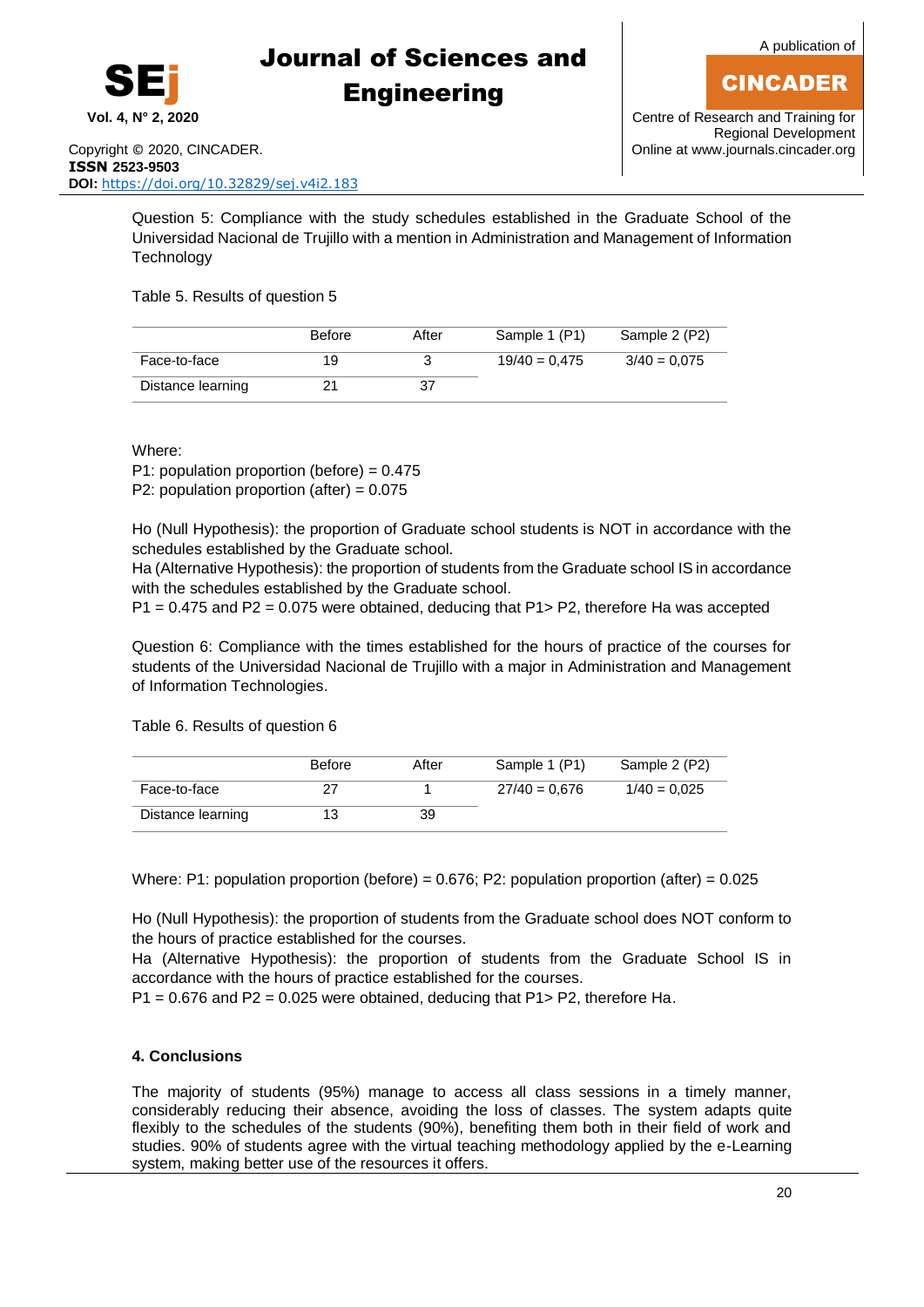

A publication of

## CINCADER

Regional Development

Copyright © 2020, CINCADER. COME CONSERVERSITY CONFIDENTIAL CONSERVERSITY Online a[t www.journals.cincader.org](http://www.journals.cincader.org/) **ISSN 2523-9503 DOI:** <https://doi.org/10.32829/sej.v4i2.183>

Question 5: Compliance with the study schedules established in the Graduate School of the Universidad Nacional de Trujillo with a mention in Administration and Management of Information

### Table 5. Results of question 5

|                   | <b>Before</b> | After | Sample 1 (P1)   | Sample 2 (P2)  |
|-------------------|---------------|-------|-----------------|----------------|
| Face-to-face      | 19            |       | $19/40 = 0.475$ | $3/40 = 0.075$ |
| Distance learning |               |       |                 |                |

Where:

**Technology** 

P1: population proportion (before) = 0.475 P2: population proportion (after) = 0.075

Ho (Null Hypothesis): the proportion of Graduate school students is NOT in accordance with the schedules established by the Graduate school.

Ha (Alternative Hypothesis): the proportion of students from the Graduate school IS in accordance with the schedules established by the Graduate school.

 $P1 = 0.475$  and  $P2 = 0.075$  were obtained, deducing that  $P1 > P2$ , therefore Ha was accepted

Question 6: Compliance with the times established for the hours of practice of the courses for students of the Universidad Nacional de Trujillo with a major in Administration and Management of Information Technologies.

### Table 6. Results of question 6

|                   | <b>Before</b> | After | Sample 1 (P1)   | Sample 2 (P2)  |
|-------------------|---------------|-------|-----------------|----------------|
| Face-to-face      |               |       | $27/40 = 0.676$ | $1/40 = 0.025$ |
| Distance learning | 13            | 39    |                 |                |

Where: P1: population proportion (before) =  $0.676$ ; P2: population proportion (after) =  $0.025$ 

Ho (Null Hypothesis): the proportion of students from the Graduate school does NOT conform to the hours of practice established for the courses.

Ha (Alternative Hypothesis): the proportion of students from the Graduate School IS in accordance with the hours of practice established for the courses.

 $P1 = 0.676$  and  $P2 = 0.025$  were obtained, deducing that P1 > P2, therefore Ha.

### **4. Conclusions**

The majority of students (95%) manage to access all class sessions in a timely manner, considerably reducing their absence, avoiding the loss of classes. The system adapts quite flexibly to the schedules of the students (90%), benefiting them both in their field of work and studies. 90% of students agree with the virtual teaching methodology applied by the e-Learning system, making better use of the resources it offers.